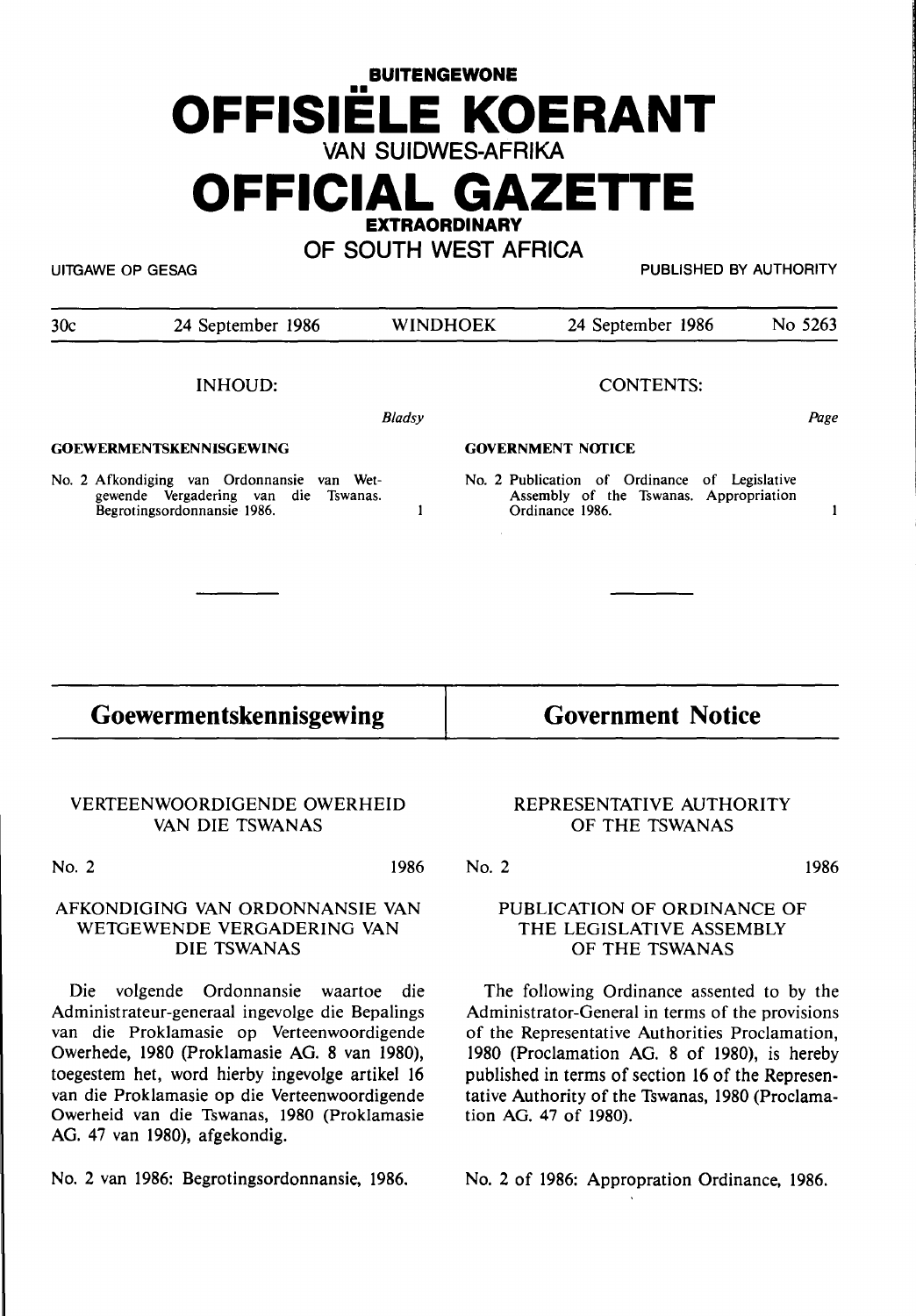# **BUITENGEWONE**  •• **OFFISIELE KOERANT VAN SUIDWES-AFRIKA**

## **OFFICIAL GAZETTE EXTRAORDINARY**

**OF SOUTH WEST AFRICA** 

UITGAWE OP GESAG PUBLISHED BY AUTHORITY

| 30c                            | 24 September 1986                                                                                                 | <b>WINDHOEK</b> | 24 September 1986                                                                                          | No 5263 |
|--------------------------------|-------------------------------------------------------------------------------------------------------------------|-----------------|------------------------------------------------------------------------------------------------------------|---------|
|                                | <b>INHOUD:</b>                                                                                                    |                 | <b>CONTENTS:</b>                                                                                           |         |
|                                |                                                                                                                   | <b>Bladsy</b>   |                                                                                                            | Page    |
| <b>GOEWERMENTSKENNISGEWING</b> |                                                                                                                   |                 | <b>GOVERNMENT NOTICE</b>                                                                                   |         |
|                                | No. 2 Afkondiging van Ordonnansie van Wet-<br>gewende Vergadering van die Tswanas.<br>Begrotingsordonnansie 1986. |                 | No. 2 Publication of Ordinance of Legislative<br>Assembly of the Tswanas. Appropriation<br>Ordinance 1986. |         |
|                                |                                                                                                                   |                 |                                                                                                            |         |
|                                |                                                                                                                   |                 |                                                                                                            |         |

**Goewermentskennisgewing** 

**Government Notice** 

#### **VERTEENWOORDIGENDE OWERHEID VAN DIE TSWANAS**

No. 2 1986

#### **AFKONDIGING VAN ORDONNANSIE VAN WETGEWENDE VERGADERING VAN DIE TSWANAS**

Die volgende Ordonnansie waartoe die Administrateur-generaal ingevolge die Bepalings van die Proklamasie op Verteenwoordigende Owerhede, 1980 (Proklamasie **AG. 8** van 1980), toegestem het, word hierby ingevolge artikel 16 van die Proklamasie op die Verteenwoordigende Owerheid van die Tswanas, 1980 (Proklamasie AG. 47 van 1980), afgekondig.

No. 2 van 1986: Begrotingsordonnansie, 1986.

#### REPRESENTATIVE AUTHORITY OF THE TSWANAS

No. 2 1986

#### PUBLICATION OF ORDINANCE OF THE LEGISLATIVE ASSEMBLY OF THE TSWANAS

The following Ordinance assented to by the Administrator-General in terms of the provisions of the Representative Authorities Proclamation, 1980 (Proclamation AG. 8 of 1980), is hereby published in terms of section 16 of the Representative Authority of the Tswanas, 1980 (Proclamation AG. 47 of 1980).

No. 2 of 1986: Appropration Ordinance, 1986.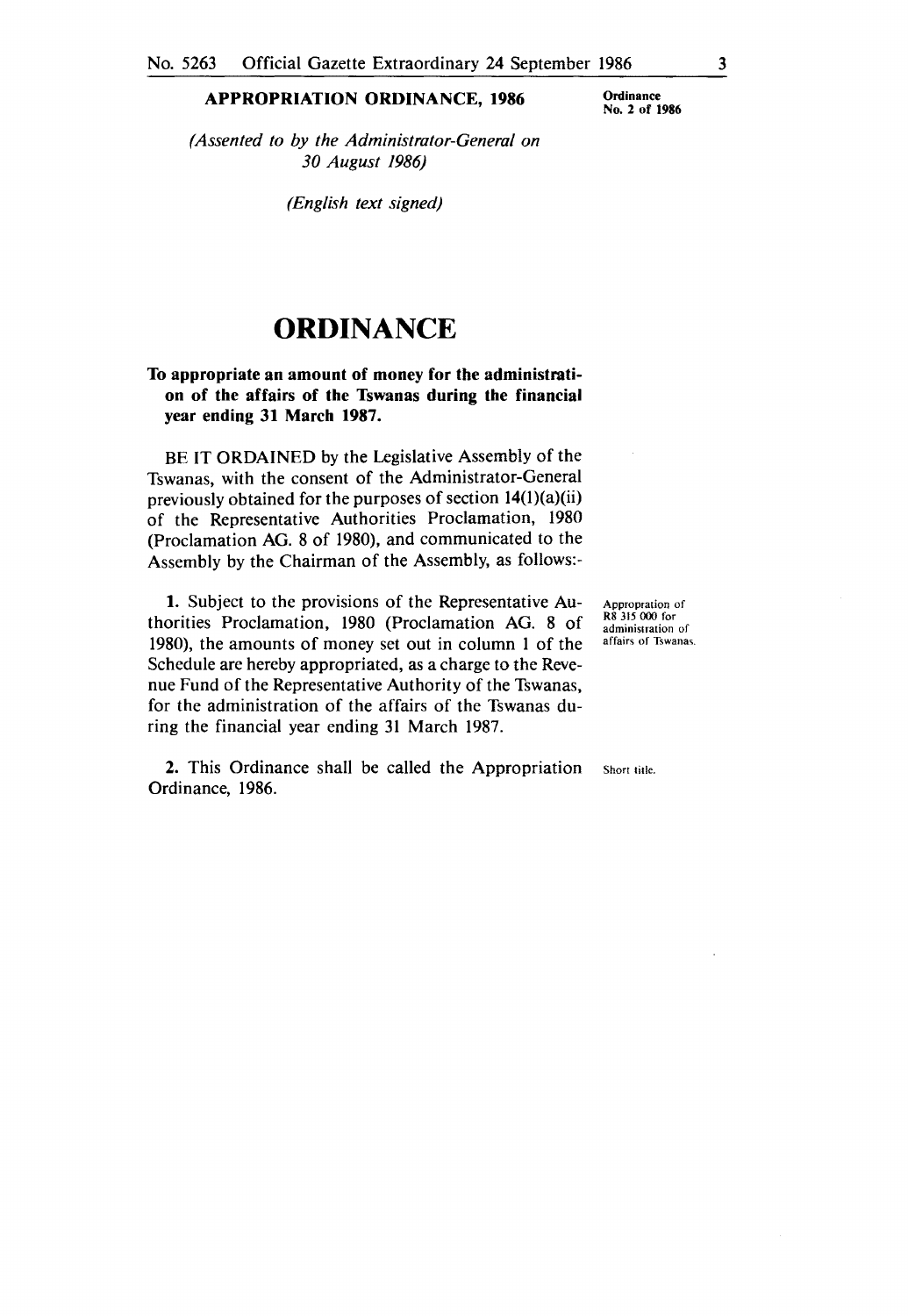#### **APPROPRIATION ORDINANCE, 1986**

**Ordinance**  No. 2 **of 1986** 

*(Assented to by the Administrator-Genera/ on 30 August 1986)* 

*(English text signed)* 

### **ORDINANCE**

#### **To appropriate an amount of money for the administration of the affairs of the Tswanas during the financial year ending 31 March 1987.**

BE IT ORDAINED by the Legislative Assembly of the Tswanas, with the consent of the Administrator-General previously obtained for the purposes of section 14(l)(a)(ii) of the Representative Authorities Proclamation, 1980 (Proclamation AG. 8 of 1980), and communicated to the Assembly by the Chairman of the Assembly, as follows:-

**1.** Subject to the provisions of the Representative Authorities Proclamation, 1980 (Proclamation AG. 8 of 1980), the amounts of money set out in column 1 of the Schedule are hereby appropriated, as a charge to the Revenue Fund of the Representative Authority of the Tswanas, for the administration of the affairs of the Tswanas during the financial year ending 31 March 1987.

**2.** This Ordinance shall be called the Appropriation Ordinance, 1986.

Appropration of RS 315 000 for administration of affairs of Tswanas.

Short title.